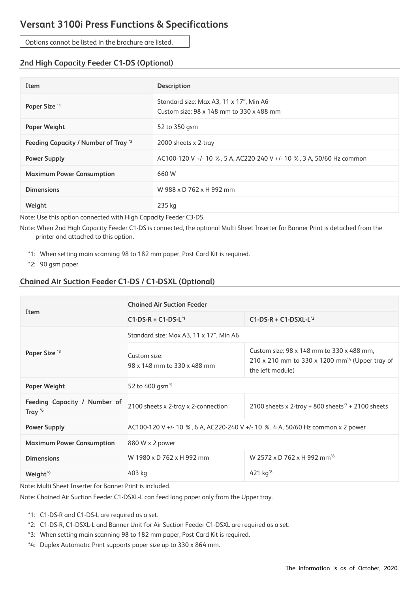## **Versant 3100i Press Functions & Specifications**

Options cannot be listed in the brochure are listed.

## **2nd High Capacity Feeder C1-DS (Optional)**

| Item                                 | <b>Description</b>                                                                  |
|--------------------------------------|-------------------------------------------------------------------------------------|
| Paper Size <sup>*1</sup>             | Standard size: Max A3, 11 x 17", Min A6<br>Custom size: 98 x 148 mm to 330 x 488 mm |
| <b>Paper Weight</b>                  | 52 to 350 gsm                                                                       |
| Feeding Capacity / Number of Tray '2 | 2000 sheets x 2-tray                                                                |
| <b>Power Supply</b>                  | AC100-120 V +/- 10 %, 5 A, AC220-240 V +/- 10 %, 3 A, 50/60 Hz common               |
| <b>Maximum Power Consumption</b>     | 660 W                                                                               |
| <b>Dimensions</b>                    | W 988 x D 762 x H 992 mm                                                            |
| Weight                               | 235 kg                                                                              |

Note: Use this option connected with High Capacity Feeder C3-DS.

Note: When 2nd High Capacity Feeder C1-DS is connected, the optional Multi Sheet Inserter for Banner Print is detached from the printer and attached to this option.

\*1: When setting main scanning 98 to 182 mm paper, Post Card Kit is required.

\*2: 90 gsm paper.

## **Chained Air Suction Feeder C1-DS / C1-DSXL (Optional)**

| Item                                      | <b>Chained Air Suction Feeder</b>                                               |                                                                                                                             |  |
|-------------------------------------------|---------------------------------------------------------------------------------|-----------------------------------------------------------------------------------------------------------------------------|--|
|                                           | $C1-DS-R + C1-DS-L1$                                                            | $C1-DS-R + C1-DSXL-L^2$                                                                                                     |  |
| Paper Size <sup>'3</sup>                  | Standard size: Max A3, 11 x 17", Min A6                                         |                                                                                                                             |  |
|                                           | Custom size:<br>98 x 148 mm to 330 x 488 mm                                     | Custom size: 98 x 148 mm to 330 x 488 mm,<br>210 x 210 mm to 330 x 1200 mm <sup>24</sup> (Upper tray of<br>the left module) |  |
| <b>Paper Weight</b>                       | 52 to 400 gsm <sup>*5</sup>                                                     |                                                                                                                             |  |
| Feeding Capacity / Number of<br>Tray $*6$ | 2100 sheets x 2-tray x 2-connection                                             | 2100 sheets x 2-tray + 800 sheets <sup><math>7</math></sup> + 2100 sheets                                                   |  |
| <b>Power Supply</b>                       | AC100-120 V +/- 10 %, 6 A, AC220-240 V +/- 10 %, 4 A, 50/60 Hz common x 2 power |                                                                                                                             |  |
| <b>Maximum Power Consumption</b>          | 880 W x 2 power                                                                 |                                                                                                                             |  |
| <b>Dimensions</b>                         | W 1980 x D 762 x H 992 mm                                                       | W 2572 x D 762 x H 992 mm <sup>3</sup>                                                                                      |  |
| Weight <sup>*9</sup>                      | 403 kg                                                                          | 421 $kg^{8}$                                                                                                                |  |

Note: Multi Sheet Inserter for Banner Print is included.

Note: Chained Air Suction Feeder C1-DSXL-L can feed long paper only from the Upper tray.

\*1: C1-DS-R and C1-DS-L are required as a set.

- \*2: C1-DS-R, C1-DSXL-L and Banner Unit for Air Suction Feeder C1-DSXL are required as a set.
- \*3: When setting main scanning 98 to 182 mm paper, Post Card Kit is required.
- \*4: Duplex Automatic Print supports paper size up to 330 x 864 mm.